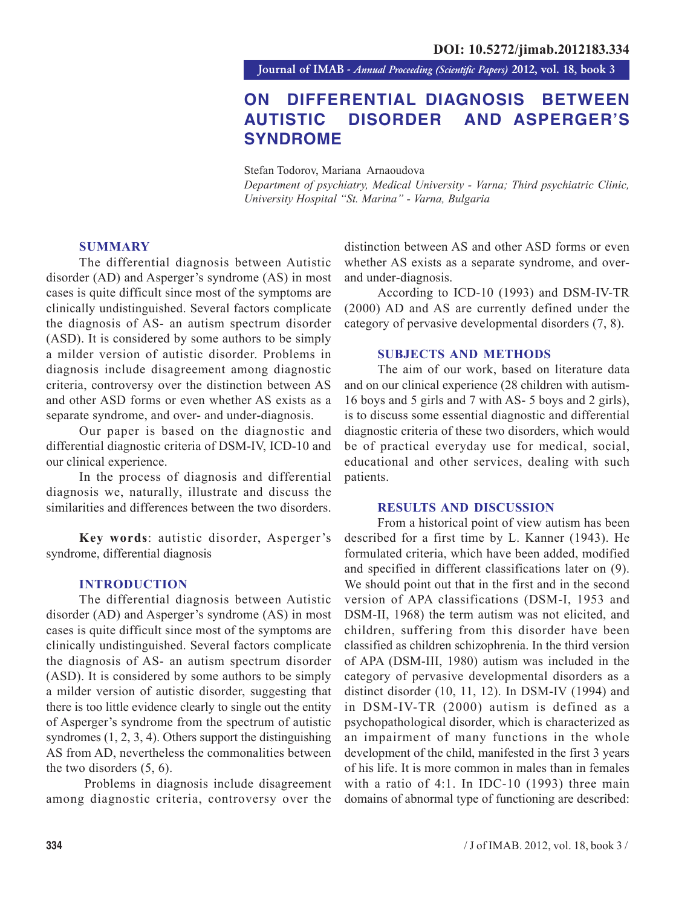**Journal of IMAB** *- Annual Proceeding (Scientific Papers)* **2012, vol. 18, book 3**

# **ON DIFFERENTIAL DIAGNOSIS BETWEEN AUTISTIC DISORDER AND ASPERGER'S SYNDROME**

Stefan Todorov, Mariana Arnaoudova

*Department of psychiatry, Medical University - Varna; Third psychiatric Clinic, University Hospital "St. Marina" - Varna, Bulgaria*

## **SUMMARY**

The differential diagnosis between Autistic disorder (AD) and Asperger's syndrome (AS) in most cases is quite difficult since most of the symptoms are clinically undistinguished. Several factors complicate the diagnosis of AS- an autism spectrum disorder (ASD). It is considered by some authors to be simply a milder version of autistic disorder. Problems in diagnosis include disagreement among diagnostic criteria, controversy over the distinction between AS and other ASD forms or even whether AS exists as a separate syndrome, and over- and under-diagnosis.

Our paper is based on the diagnostic and differential diagnostic criteria of DSM-IV, ICD-10 and our clinical experience.

In the process of diagnosis and differential diagnosis we, naturally, illustrate and discuss the similarities and differences between the two disorders.

**Key words**: autistic disorder, Asperger's syndrome, differential diagnosis

## **INTRODUCTION**

The differential diagnosis between Autistic disorder (AD) and Asperger's syndrome (AS) in most cases is quite difficult since most of the symptoms are clinically undistinguished. Several factors complicate the diagnosis of AS- an autism spectrum disorder (ASD). It is considered by some authors to be simply a milder version of autistic disorder, suggesting that there is too little evidence clearly to single out the entity of Asperger's syndrome from the spectrum of autistic syndromes (1, 2, 3, 4). Others support the distinguishing AS from AD, nevertheless the commonalities between the two disorders (5, 6).

 Problems in diagnosis include disagreement among diagnostic criteria, controversy over the distinction between AS and other ASD forms or even whether AS exists as a separate syndrome, and overand under-diagnosis.

According to ICD-10 (1993) and DSM-IV-TR (2000) AD and AS are currently defined under the category of pervasive developmental disorders (7, 8).

### **SUBJECTS AND METHODS**

The aim of our work, based on literature data and on our clinical experience (28 children with autism-16 boys and 5 girls and 7 with AS- 5 boys and 2 girls), is to discuss some essential diagnostic and differential diagnostic criteria of these two disorders, which would be of practical everyday use for medical, social, educational and other services, dealing with such patients.

#### **RESULTS AND DISCUSSION**

From a historical point of view autism has been described for a first time by L. Kanner (1943). He formulated criteria, which have been added, modified and specified in different classifications later on (9). We should point out that in the first and in the second version of APA classifications (DSM-I, 1953 and DSM-II, 1968) the term autism was not elicited, and children, suffering from this disorder have been classified as children schizophrenia. In the third version of APA (DSM-III, 1980) autism was included in the category of pervasive developmental disorders as a distinct disorder (10, 11, 12). In DSM-IV (1994) and in DSM-IV-TR (2000) autism is defined as a psychopathological disorder, which is characterized as an impairment of many functions in the whole development of the child, manifested in the first 3 years of his life. It is more common in males than in females with a ratio of 4:1. In IDC-10 (1993) three main domains of abnormal type of functioning are described: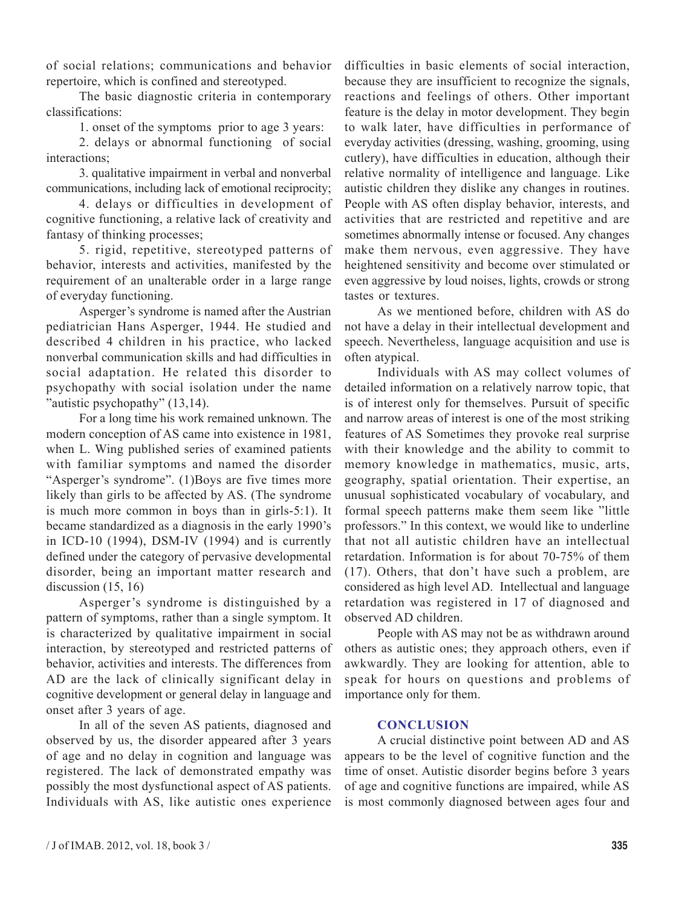of social relations; communications and behavior repertoire, which is confined and stereotyped.

The basic diagnostic criteria in contemporary classifications:

1. onset of the symptoms prior to age 3 years:

2. delays or abnormal functioning of social interactions;

3. qualitative impairment in verbal and nonverbal communications, including lack of emotional reciprocity;

4. delays or difficulties in development of cognitive functioning, a relative lack of creativity and fantasy of thinking processes;

5. rigid, repetitive, stereotyped patterns of behavior, interests and activities, manifested by the requirement of an unalterable order in a large range of everyday functioning.

Asperger's syndrome is named after the Austrian pediatrician Hans Asperger, 1944. He studied and described 4 children in his practice, who lacked nonverbal communication skills and had difficulties in social adaptation. He related this disorder to psychopathy with social isolation under the name "autistic psychopathy" (13,14).

For a long time his work remained unknown. The modern conception of AS came into existence in 1981, when L. Wing published series of examined patients with familiar symptoms and named the disorder "Asperger's syndrome". (1)Boys are five times more likely than girls to be affected by AS. (The syndrome is much more common in boys than in girls-5:1). It became standardized as a diagnosis in the early 1990's in ICD-10 (1994), DSM-IV (1994) and is currently defined under the category of pervasive developmental disorder, being an important matter research and discussion  $(15, 16)$ 

Asperger's syndrome is distinguished by a pattern of symptoms, rather than a single symptom. It is characterized by qualitative impairment in social interaction, by stereotyped and restricted patterns of behavior, activities and interests. The differences from AD are the lack of clinically significant delay in cognitive development or general delay in language and onset after 3 years of age.

In all of the seven AS patients, diagnosed and observed by us, the disorder appeared after 3 years of age and no delay in cognition and language was registered. The lack of demonstrated empathy was possibly the most dysfunctional aspect of AS patients. Individuals with AS, like autistic ones experience difficulties in basic elements of social interaction, because they are insufficient to recognize the signals, reactions and feelings of others. Other important feature is the delay in motor development. They begin to walk later, have difficulties in performance of everyday activities (dressing, washing, grooming, using cutlery), have difficulties in education, although their relative normality of intelligence and language. Like autistic children they dislike any changes in routines. People with AS often display behavior, interests, and activities that are restricted and repetitive and are sometimes abnormally intense or focused. Any changes make them nervous, even aggressive. They have heightened sensitivity and become over stimulated or even aggressive by loud noises, lights, crowds or strong tastes or textures.

As we mentioned before, children with AS do not have a delay in their intellectual development and speech. Nevertheless, language acquisition and use is often atypical.

Individuals with AS may collect volumes of detailed information on a relatively narrow topic, that is of interest only for themselves. Pursuit of specific and narrow areas of interest is one of the most striking features of AS Sometimes they provoke real surprise with their knowledge and the ability to commit to memory knowledge in mathematics, music, arts, geography, spatial orientation. Their expertise, an unusual sophisticated vocabulary of vocabulary, and formal speech patterns make them seem like "little professors." In this context, we would like to underline that not all autistic children have an intellectual retardation. Information is for about 70-75% of them (17). Others, that don't have such a problem, are considered as high level AD. Intellectual and language retardation was registered in 17 of diagnosed and observed AD children.

People with AS may not be as withdrawn around others as autistic ones; they approach others, even if awkwardly. They are looking for attention, able to speak for hours on questions and problems of importance only for them.

# **CONCLUSION**

A crucial distinctive point between AD and AS appears to be the level of cognitive function and the time of onset. Autistic disorder begins before 3 years of age and cognitive functions are impaired, while AS is most commonly diagnosed between ages four and